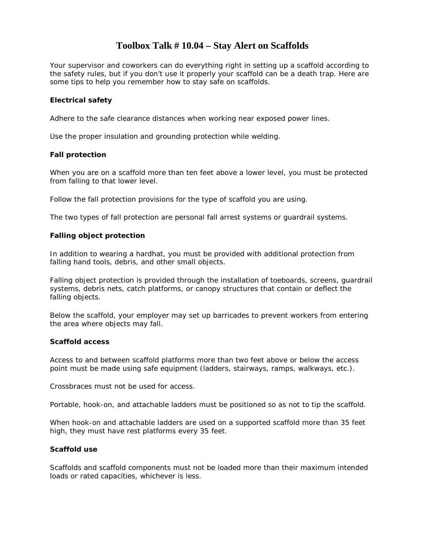# **Toolbox Talk # 10.04 – Stay Alert on Scaffolds**

Your supervisor and coworkers can do everything right in setting up a scaffold according to the safety rules, but if you don't use it properly your scaffold can be a death trap. Here are some tips to help you remember how to stay safe on scaffolds.

## **Electrical safety**

Adhere to the safe clearance distances when working near exposed power lines.

Use the proper insulation and grounding protection while welding.

### **Fall protection**

When you are on a scaffold more than ten feet above a lower level, you must be protected from falling to that lower level.

Follow the fall protection provisions for the type of scaffold you are using.

The two types of fall protection are personal fall arrest systems or guardrail systems.

### **Falling object protection**

In addition to wearing a hardhat, you must be provided with additional protection from falling hand tools, debris, and other small objects.

Falling object protection is provided through the installation of toeboards, screens, guardrail systems, debris nets, catch platforms, or canopy structures that contain or deflect the falling objects.

Below the scaffold, your employer may set up barricades to prevent workers from entering the area where objects may fall.

#### **Scaffold access**

Access to and between scaffold platforms more than two feet above or below the access point must be made using safe equipment (ladders, stairways, ramps, walkways, etc.).

Crossbraces must not be used for access.

Portable, hook-on, and attachable ladders must be positioned so as not to tip the scaffold.

When hook-on and attachable ladders are used on a supported scaffold more than 35 feet high, they must have rest platforms every 35 feet.

#### **Scaffold use**

Scaffolds and scaffold components must not be loaded more than their maximum intended loads or rated capacities, whichever is less.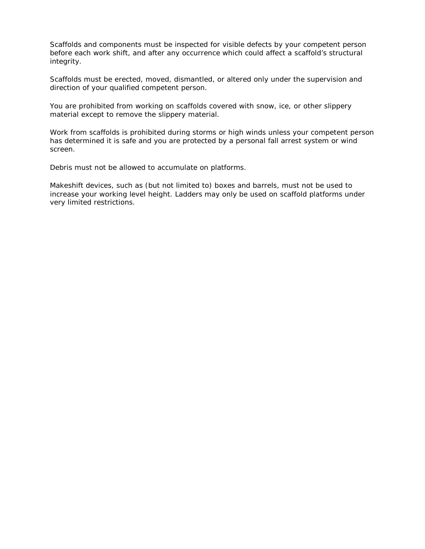Scaffolds and components must be inspected for visible defects by your competent person before each work shift, and after any occurrence which could affect a scaffold's structural integrity.

Scaffolds must be erected, moved, dismantled, or altered only under the supervision and direction of your qualified competent person.

You are prohibited from working on scaffolds covered with snow, ice, or other slippery material except to remove the slippery material.

Work from scaffolds is prohibited during storms or high winds unless your competent person has determined it is safe and you are protected by a personal fall arrest system or wind screen.

Debris must not be allowed to accumulate on platforms.

Makeshift devices, such as (but not limited to) boxes and barrels, must not be used to increase your working level height. Ladders may only be used on scaffold platforms under very limited restrictions.